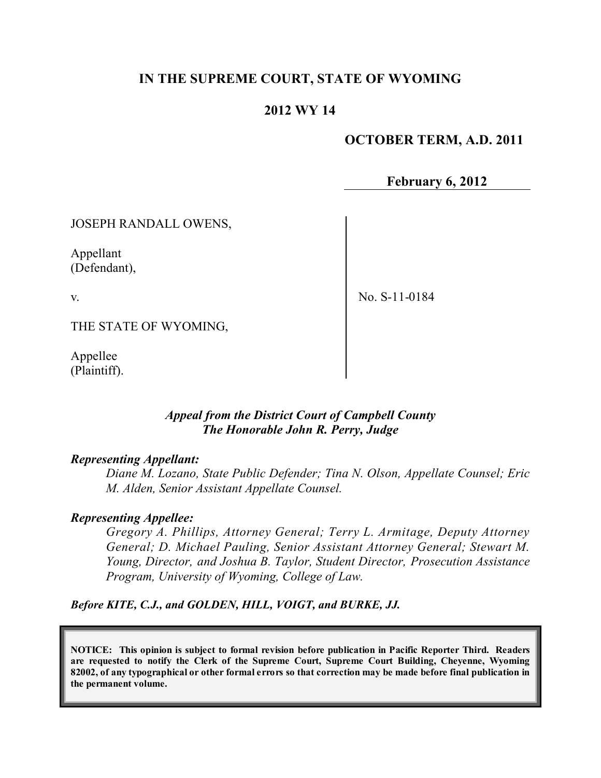## **IN THE SUPREME COURT, STATE OF WYOMING**

## **2012 WY 14**

## **OCTOBER TERM, A.D. 2011**

**February 6, 2012**

JOSEPH RANDALL OWENS,

Appellant (Defendant),

v.

No. S-11-0184

THE STATE OF WYOMING,

Appellee (Plaintiff).

#### *Appeal from the District Court of Campbell County The Honorable John R. Perry, Judge*

#### *Representing Appellant:*

*Diane M. Lozano, State Public Defender; Tina N. Olson, Appellate Counsel; Eric M. Alden, Senior Assistant Appellate Counsel.*

#### *Representing Appellee:*

*Gregory A. Phillips, Attorney General; Terry L. Armitage, Deputy Attorney General; D. Michael Pauling, Senior Assistant Attorney General; Stewart M. Young, Director, and Joshua B. Taylor, Student Director, Prosecution Assistance Program, University of Wyoming, College of Law.*

*Before KITE, C.J., and GOLDEN, HILL, VOIGT, and BURKE, JJ.*

**NOTICE: This opinion is subject to formal revision before publication in Pacific Reporter Third. Readers are requested to notify the Clerk of the Supreme Court, Supreme Court Building, Cheyenne, Wyoming** 82002, of any typographical or other formal errors so that correction may be made before final publication in **the permanent volume.**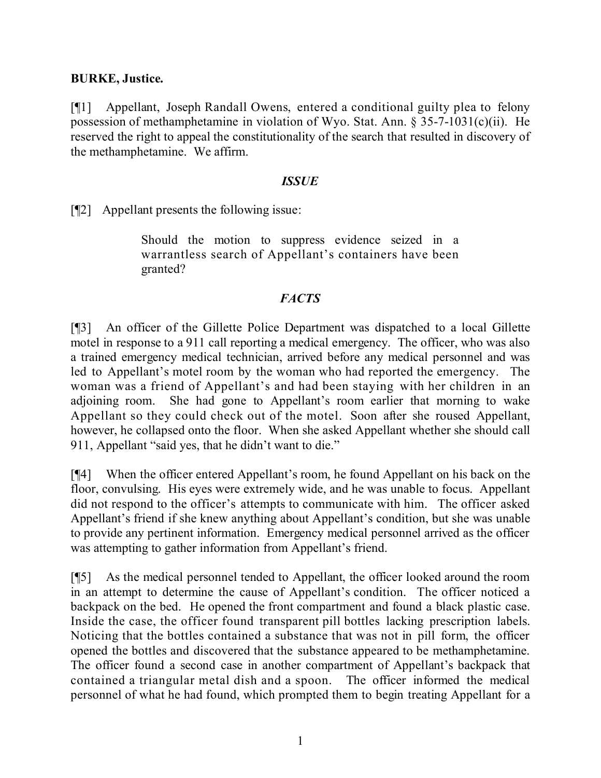## **BURKE, Justice.**

[¶1] Appellant, Joseph Randall Owens, entered a conditional guilty plea to felony possession of methamphetamine in violation of Wyo. Stat. Ann. § 35-7-1031(c)(ii). He reserved the right to appeal the constitutionality of the search that resulted in discovery of the methamphetamine. We affirm.

#### *ISSUE*

[¶2] Appellant presents the following issue:

Should the motion to suppress evidence seized in a warrantless search of Appellant's containers have been granted?

## *FACTS*

[¶3] An officer of the Gillette Police Department was dispatched to a local Gillette motel in response to a 911 call reporting a medical emergency. The officer, who was also a trained emergency medical technician, arrived before any medical personnel and was led to Appellant's motel room by the woman who had reported the emergency. The woman was a friend of Appellant's and had been staying with her children in an adjoining room. She had gone to Appellant's room earlier that morning to wake Appellant so they could check out of the motel. Soon after she roused Appellant, however, he collapsed onto the floor. When she asked Appellant whether she should call 911, Appellant "said yes, that he didn't want to die."

[¶4] When the officer entered Appellant's room, he found Appellant on his back on the floor, convulsing. His eyes were extremely wide, and he was unable to focus. Appellant did not respond to the officer's attempts to communicate with him. The officer asked Appellant's friend if she knew anything about Appellant's condition, but she was unable to provide any pertinent information. Emergency medical personnel arrived as the officer was attempting to gather information from Appellant's friend.

[¶5] As the medical personnel tended to Appellant, the officer looked around the room in an attempt to determine the cause of Appellant's condition. The officer noticed a backpack on the bed. He opened the front compartment and found a black plastic case. Inside the case, the officer found transparent pill bottles lacking prescription labels. Noticing that the bottles contained a substance that was not in pill form, the officer opened the bottles and discovered that the substance appeared to be methamphetamine. The officer found a second case in another compartment of Appellant's backpack that contained a triangular metal dish and a spoon. The officer informed the medical personnel of what he had found, which prompted them to begin treating Appellant for a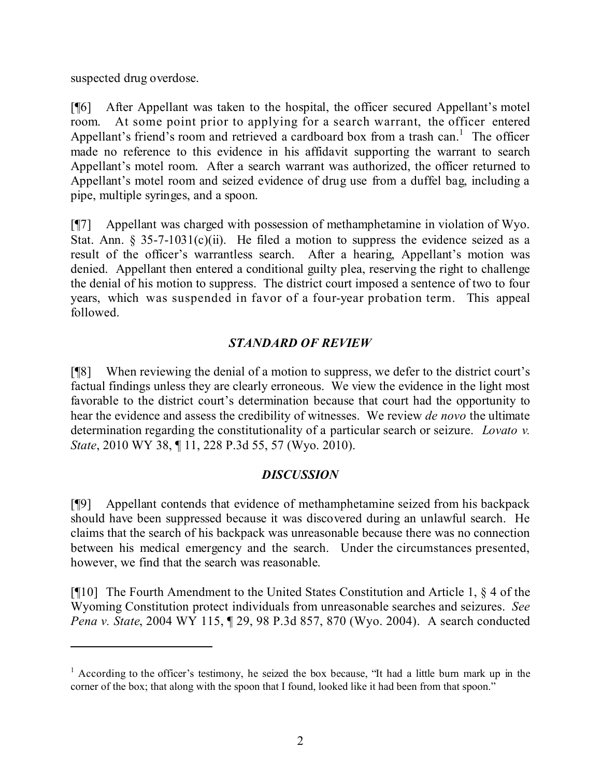suspected drug overdose.

[¶6] After Appellant was taken to the hospital, the officer secured Appellant's motel room. At some point prior to applying for a search warrant, the officer entered Appellant's friend's room and retrieved a cardboard box from a trash can.<sup>1</sup> The officer made no reference to this evidence in his affidavit supporting the warrant to search Appellant's motel room. After a search warrant was authorized, the officer returned to Appellant's motel room and seized evidence of drug use from a duffel bag, including a pipe, multiple syringes, and a spoon.

[¶7] Appellant was charged with possession of methamphetamine in violation of Wyo. Stat. Ann.  $\S 35-7-1031(c)(ii)$ . He filed a motion to suppress the evidence seized as a result of the officer's warrantless search. After a hearing, Appellant's motion was denied. Appellant then entered a conditional guilty plea, reserving the right to challenge the denial of his motion to suppress. The district court imposed a sentence of two to four years, which was suspended in favor of a four-year probation term. This appeal followed.

# *STANDARD OF REVIEW*

[¶8] When reviewing the denial of a motion to suppress, we defer to the district court's factual findings unless they are clearly erroneous. We view the evidence in the light most favorable to the district court's determination because that court had the opportunity to hear the evidence and assess the credibility of witnesses. We review *de novo* the ultimate determination regarding the constitutionality of a particular search or seizure. *Lovato v. State*, 2010 WY 38, ¶ 11, 228 P.3d 55, 57 (Wyo. 2010).

# *DISCUSSION*

[¶9] Appellant contends that evidence of methamphetamine seized from his backpack should have been suppressed because it was discovered during an unlawful search. He claims that the search of his backpack was unreasonable because there was no connection between his medical emergency and the search. Under the circumstances presented, however, we find that the search was reasonable.

[¶10] The Fourth Amendment to the United States Constitution and Article 1, § 4 of the Wyoming Constitution protect individuals from unreasonable searches and seizures. *See Pena v. State*, 2004 WY 115, ¶ 29, 98 P.3d 857, 870 (Wyo. 2004). A search conducted

<sup>&</sup>lt;sup>1</sup> According to the officer's testimony, he seized the box because, "It had a little burn mark up in the corner of the box; that along with the spoon that I found, looked like it had been from that spoon."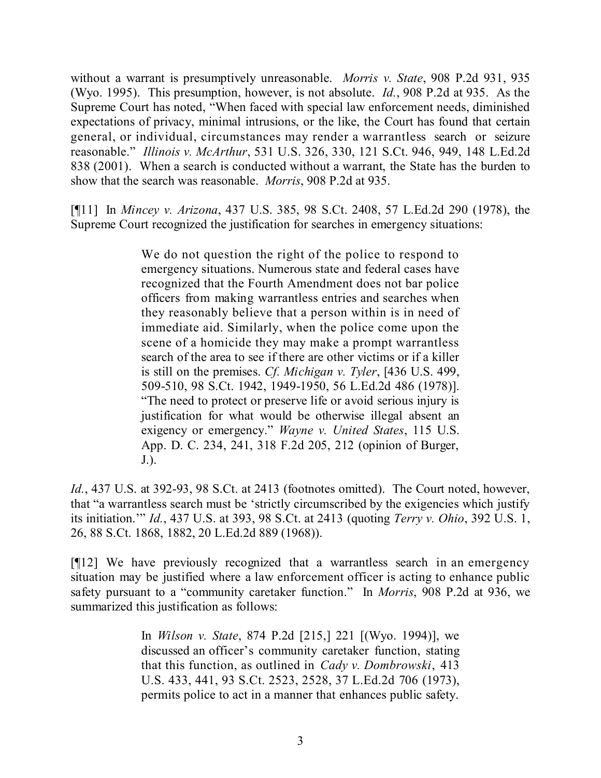without a warrant is presumptively unreasonable. *Morris v. State*, 908 P.2d 931, 935 (Wyo. 1995). This presumption, however, is not absolute. *Id.*, 908 P.2d at 935. As the Supreme Court has noted, "When faced with special law enforcement needs, diminished expectations of privacy, minimal intrusions, or the like, the Court has found that certain general, or individual, circumstances may render a warrantless search or seizure reasonable." *Illinois v. McArthur*, 531 U.S. 326, 330, 121 S.Ct. 946, 949, 148 L.Ed.2d 838 (2001). When a search is conducted without a warrant, the State has the burden to show that the search was reasonable. *Morris*, 908 P.2d at 935.

[¶11] In *Mincey v. Arizona*, 437 U.S. 385, 98 S.Ct. 2408, 57 L.Ed.2d 290 (1978), the Supreme Court recognized the justification for searches in emergency situations:

> We do not question the right of the police to respond to emergency situations. Numerous state and federal cases have recognized that the Fourth Amendment does not bar police officers from making warrantless entries and searches when they reasonably believe that a person within is in need of immediate aid. Similarly, when the police come upon the scene of a homicide they may make a prompt warrantless search of the area to see if there are other victims or if a killer is still on the premises. *Cf. Michigan v. Tyler*, [436 U.S. 499, 509-510, 98 S.Ct. 1942, 1949-1950, 56 L.Ed.2d 486 (1978)]. "The need to protect or preserve life or avoid serious injury is justification for what would be otherwise illegal absent an exigency or emergency." *Wayne v. United States*, 115 U.S. App. D. C. 234, 241, 318 F.2d 205, 212 (opinion of Burger, J.).

Id., 437 U.S. at 392-93, 98 S.Ct. at 2413 (footnotes omitted). The Court noted, however, that "a warrantless search must be 'strictly circumscribed by the exigencies which justify its initiation.'" *Id.*, 437 U.S. at 393, 98 S.Ct. at 2413 (quoting *Terry v. Ohio*, 392 U.S. 1, 26, 88 S.Ct. 1868, 1882, 20 L.Ed.2d 889 (1968)).

[¶12] We have previously recognized that a warrantless search in an emergency situation may be justified where a law enforcement officer is acting to enhance public safety pursuant to a "community caretaker function." In *Morris*, 908 P.2d at 936, we summarized this justification as follows:

> In *Wilson v. State*, 874 P.2d [215,] 221 [(Wyo. 1994)], we discussed an officer's community caretaker function, stating that this function, as outlined in *Cady v. Dombrowski*, 413 U.S. 433, 441, 93 S.Ct. 2523, 2528, 37 L.Ed.2d 706 (1973), permits police to act in a manner that enhances public safety.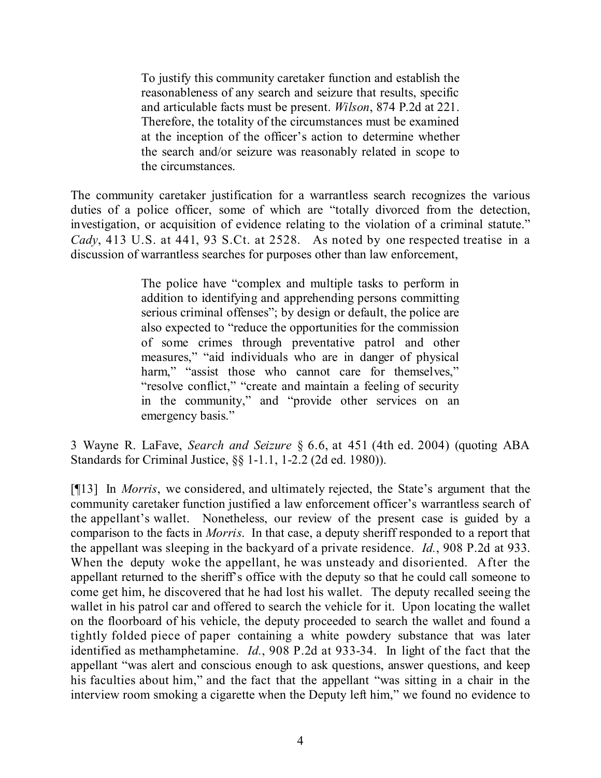To justify this community caretaker function and establish the reasonableness of any search and seizure that results, specific and articulable facts must be present. *Wilson*, 874 P.2d at 221. Therefore, the totality of the circumstances must be examined at the inception of the officer's action to determine whether the search and/or seizure was reasonably related in scope to the circumstances.

The community caretaker justification for a warrantless search recognizes the various duties of a police officer, some of which are "totally divorced from the detection, investigation, or acquisition of evidence relating to the violation of a criminal statute." *Cady*, 413 U.S. at 441, 93 S.Ct. at 2528. As noted by one respected treatise in a discussion of warrantless searches for purposes other than law enforcement,

> The police have "complex and multiple tasks to perform in addition to identifying and apprehending persons committing serious criminal offenses"; by design or default, the police are also expected to "reduce the opportunities for the commission of some crimes through preventative patrol and other measures," "aid individuals who are in danger of physical harm," "assist those who cannot care for themselves," "resolve conflict," "create and maintain a feeling of security in the community," and "provide other services on an emergency basis."

3 Wayne R. LaFave, *Search and Seizure* § 6.6, at 451 (4th ed. 2004) (quoting ABA Standards for Criminal Justice, §§ 1-1.1, 1-2.2 (2d ed. 1980)).

[¶13] In *Morris*, we considered, and ultimately rejected, the State's argument that the community caretaker function justified a law enforcement officer's warrantless search of the appellant's wallet. Nonetheless, our review of the present case is guided by a comparison to the facts in *Morris*.In that case, a deputy sheriff responded to a report that the appellant was sleeping in the backyard of a private residence. *Id.*, 908 P.2d at 933. When the deputy woke the appellant, he was unsteady and disoriented. After the appellant returned to the sheriff's office with the deputy so that he could call someone to come get him, he discovered that he had lost his wallet. The deputy recalled seeing the wallet in his patrol car and offered to search the vehicle for it. Upon locating the wallet on the floorboard of his vehicle, the deputy proceeded to search the wallet and found a tightly folded piece of paper containing a white powdery substance that was later identified as methamphetamine. *Id.*, 908 P.2d at 933-34. In light of the fact that the appellant "was alert and conscious enough to ask questions, answer questions, and keep his faculties about him," and the fact that the appellant "was sitting in a chair in the interview room smoking a cigarette when the Deputy left him," we found no evidence to